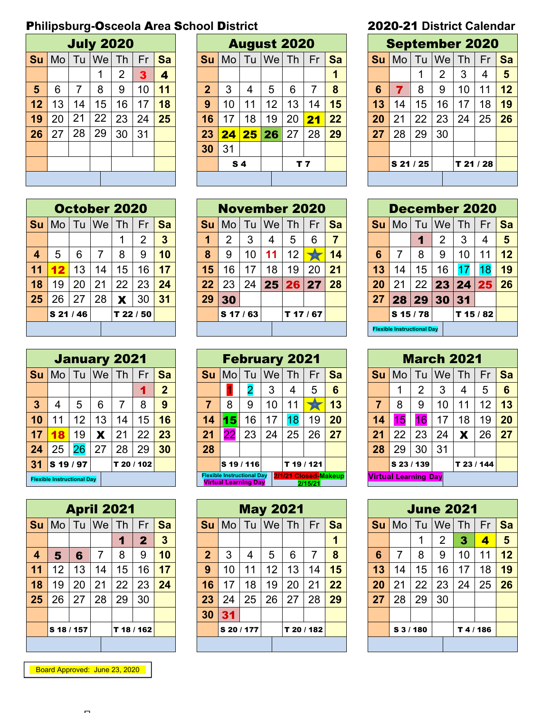# P**hilipsburg-**O**sceola** A**rea** S**chool** D**istrict** 2020-21 **District Calendar**

|           |                |                | <b>July 2020</b> |                |    |           |                | Д  |
|-----------|----------------|----------------|------------------|----------------|----|-----------|----------------|----|
| <b>Su</b> | M <sub>o</sub> | Tu             | Wel              | Th             | Fr | <b>Sa</b> | Su             | Mo |
|           |                |                | 1                | $\overline{2}$ | 3  | 4         |                |    |
| 5         | 6              | $\overline{7}$ | 8                | 9              | 10 | 11        | $\overline{2}$ | 3  |
| 12        | 13             | 14             | 15               | 16             | 17 | 18        | 9              | 10 |
| 19        | 20             | 21             | 22               | 23             | 24 | 25        | 16             | 17 |
| 26        | 27             | 28             | 29               | 30             | 31 |           | 23             | 24 |
|           |                |                |                  |                |    |           | 30             | 31 |
|           |                |                |                  |                |    |           |                | s  |
|           |                |                |                  |                |    |           |                |    |

|                |    |    | <b>July 2020</b> |    |    |                         |             |                |         | <b>August 2020</b> |     |                 |    |           |             |    |    |        | <b>September 2020</b> |           |
|----------------|----|----|------------------|----|----|-------------------------|-------------|----------------|---------|--------------------|-----|-----------------|----|-----------|-------------|----|----|--------|-----------------------|-----------|
| Su             | Mo | Tu | We               | Th | Fr | Sa                      | <b>Su</b>   | Mo             | Tu      | We                 | Th  | Fr              | Sa | <b>Su</b> | Mo          | Tu | We | Th     | Fr                    | <b>Sa</b> |
|                |    |    |                  | 2  | 3  | $\overline{\mathbf{A}}$ |             |                |         |                    |     |                 |    |           |             | л  | 2  | 3      | $\overline{4}$        | 5         |
| $5\phantom{1}$ | 6  |    | 8                | 9  | 10 | 11                      | $\mathbf 2$ | 3              | 4       | 5                  | 6   |                 | 8  | 6         |             | 8  | 9  | 10     | 11                    | 12        |
| 12             | 13 | 14 | 15               | 16 | 17 | 18                      | 9           | 10             | 11<br>1 | 12                 | 13  | 14              | 15 | 13        | 14          | 15 | 16 | 17     | 18                    | 19        |
| 19             | 20 | 21 | 22               | 23 | 24 | 25                      | 16          | 17             | 18      | 19                 | 20  | $\overline{21}$ | 22 | 20        | 21          | 22 | 23 | 24     | 25                    | 26        |
| 26             | 27 | 28 | 29               | 30 | 31 |                         | 23          | 24             | 25      | 26                 | 27  | 28              | 29 | 27        | 28          | 29 | 30 |        |                       |           |
|                |    |    |                  |    |    |                         | 30          | 31             |         |                    |     |                 |    |           |             |    |    |        |                       |           |
|                |    |    |                  |    |    |                         |             | S <sub>4</sub> |         |                    | T 7 |                 |    |           | $S$ 21 / 25 |    |    | T21/28 |                       |           |
|                |    |    |                  |    |    |                         |             |                |         |                    |     |                 |    |           |             |    |    |        |                       |           |

|                         |        |                    |    | October 2020           |    |                |
|-------------------------|--------|--------------------|----|------------------------|----|----------------|
| Su                      |        |                    |    | Mo   Tu   We   Th   Fr |    | <b>Sa</b>      |
|                         |        |                    |    | 1                      | 2  | $\overline{3}$ |
| $\overline{\mathbf{4}}$ | 5      | 6                  | 7  | 8                      | 9  | 10             |
| 11                      | $12 \$ | 13                 | 14 | 15                     | 16 | 17             |
| 18                      | 19     | 20                 | 21 | 22                     | 23 | 24             |
| 25                      | 26     | 27                 | 28 | X                      | 30 | 31             |
|                         |        | S <sub>21/46</sub> |    | T 22 / 50              |    |                |
|                         |        |                    |    |                        |    |                |

|    |                                   |                 |    | <b>January 2021</b> |            |                |           |       | <b>Februa</b>                                                    |                       |
|----|-----------------------------------|-----------------|----|---------------------|------------|----------------|-----------|-------|------------------------------------------------------------------|-----------------------|
| Su |                                   |                 |    | Mo   Tu   We   Th   | Fr         | <b>Sa</b>      | <b>Su</b> | Mo Tu |                                                                  | 1V                    |
|    |                                   |                 |    |                     | 1          | $\overline{2}$ |           |       |                                                                  |                       |
| 3  | 4                                 | 5               | 6  | 7                   | 8          | 9              | 7         | 8     | 9                                                                |                       |
| 10 | 11                                | 12 <sub>2</sub> | 13 | 14                  | 15         | 16             | 14        | 15    | 16                                                               | ٠                     |
| 17 |                                   | 19              | X  | 21                  | 22         | 23             | 21        | 22    | 23                                                               | $\tilde{\phantom{a}}$ |
| 24 | 25                                | 26              | 27 | 28                  | 29         | 30             | 28        |       |                                                                  |                       |
| 31 | S 19 / 97                         |                 |    |                     | T 20 / 102 |                |           |       | S 19 / 116                                                       |                       |
|    | <b>Flexible Instructional Day</b> |                 |    |                     |            |                |           |       | <b>Flexible Instructional Dav</b><br><b>Virtual Learning Dav</b> |                       |

|           |                |              |    | <b>April 2021</b> |              |                         |                |             |
|-----------|----------------|--------------|----|-------------------|--------------|-------------------------|----------------|-------------|
| <b>Su</b> |                | Mo   Tu   We |    | Th                | Fr           | Sa                      | Su             | Mo          |
|           |                |              |    | 1                 | $\mathbf{2}$ | $\overline{\mathbf{3}}$ |                |             |
| 4         | $5\phantom{1}$ | 6            | 7  | 8                 | 9            | 10                      | $\overline{2}$ | 3           |
| 11        | 12             | 13           | 14 | 15                | 16           | 17                      | 9              | 10          |
| 18        | 19             | 20           | 21 | 22                | 23           | 24                      | 16             | 17          |
| 25        | 26             | 27           | 28 | 29                | 30           |                         | 23             | 24          |
|           |                |              |    |                   |              |                         | 30             | 31          |
|           | S 18 / 157     |              |    |                   | T 18 / 162   |                         |                | <b>S 20</b> |
|           |                |              |    |                   |              |                         |                |             |

Board Approved: June 23, 2020

|                  |               |    |    | <b>October 2020</b> |           |                |    | <b>November 2020</b> |    |                 |         |    |           |    | <b>December 2020</b>              |    |     |        |    |           |
|------------------|---------------|----|----|---------------------|-----------|----------------|----|----------------------|----|-----------------|---------|----|-----------|----|-----------------------------------|----|-----|--------|----|-----------|
| Su               | Mo            | Tu | We | Th                  | Fr        | Sa             | Su | Mo                   | Tu | We              | Th      | Fr | <b>Sa</b> | Su | Mo.                               | Tu | lWe | Th     | Fr | <b>Sa</b> |
|                  |               |    |    |                     | っ         | $\overline{3}$ |    | 2                    | 3  | 4               | 5       | 6  |           |    |                                   |    | 2   | 3      | 4  | 5         |
| $\boldsymbol{4}$ | 5             | 6  | 7  | 8                   | 9         | 10             | 8  | 9                    | 10 |                 | 12      |    | 14        | 6  |                                   | 8  | 9   | 10     | 11 | 12        |
| 11               |               | 13 | 14 | 15                  | 16        | 17             | 15 | 16                   | 17 | 18              | 19      | 20 | 21        | 13 | 14                                | 15 | 16  |        |    | 19        |
| 18               | 19            | 20 | 21 | 22                  | 23        | 24             | 22 | 23                   | 24 | 25 <sub>1</sub> | 26      | 27 | 28        | 20 | 2 <sup>1</sup>                    | 22 | 23  | 24 25  |    | 26        |
| 25               | 26            | 27 | 28 | X                   | 30        | 31             | 29 | 30                   |    |                 |         |    |           | 27 | 28                                | 29 | 30  | 31     |    |           |
|                  | <b>S21/46</b> |    |    |                     | T 22 / 50 |                |    | $S$ 17 / 63          |    |                 | T 17/67 |    |           |    | $S$ 15 / 78                       |    |     | T15/82 |    |           |
|                  |               |    |    |                     |           |                |    |                      |    |                 |         |    |           |    | <b>Flexible Instructional Day</b> |    |     |        |    |           |

|              |                                   |    | <b>January 2021</b> |    |            |                |    |              | <b>February 2021</b>                                             |    |                      |         |           |    |                             | <b>March 2021</b> |           |            |    |           |
|--------------|-----------------------------------|----|---------------------|----|------------|----------------|----|--------------|------------------------------------------------------------------|----|----------------------|---------|-----------|----|-----------------------------|-------------------|-----------|------------|----|-----------|
| Su           | Mo                                | Tu | <b>We</b>           | Th | Fr         | Sa             |    | <b>Su</b> Mo | Tu                                                               | We | Th                   | Fr      | <b>Sa</b> | Su | Mo                          | Tu                | <b>We</b> | Th         | Fr | <b>Sa</b> |
|              |                                   |    |                     |    |            | $\overline{2}$ |    |              |                                                                  | 3  | 4                    | 5       | 6         |    |                             | າ                 | 3         | 4          | 5  | 6         |
| $\mathbf{3}$ | 4                                 | 5  | 6                   |    | 8          | 9              |    | 8            | 9                                                                | 10 | 11                   |         | 13        |    | 8                           | 9                 | 10        |            | 12 | 13        |
| 10           | 11                                | 12 | 13                  | 14 | 15         | 16             | 14 | 15           | 16                                                               | 17 | 18                   | 19      | 20        | 14 | 6                           | 16                | 17        | 18         | 19 | 20        |
| 17           | 18                                | 19 | Х                   | 21 | 22         | 23             | 21 | 22           | 23                                                               | 24 | 25                   | 26      | 27        | 21 | 22                          | 23                | 24        | Х          | 26 | 27        |
| 24           | 25                                | 26 | 27                  | 28 | 29         | 30             | 28 |              |                                                                  |    |                      |         |           | 28 | 29                          | 30                | 31        |            |    |           |
| 31           | S 19 / 97                         |    |                     |    | T 20 / 102 |                |    |              | <b>S</b> 19 / 116                                                |    | T19/121              |         |           |    | lS 23 / 139                 |                   |           | T 23 / 144 |    |           |
|              | <b>Flexible Instructional Day</b> |    |                     |    |            |                |    |              | <b>Flexible Instructional Day</b><br><b>Virtual Learning Dav</b> |    | 2/1/21 Closed-Makeup | 2/15/21 |           |    | <b>Virtual Learning Day</b> |                   |           |            |    |           |

|                         |                |    | <b>April 2021</b> |    |             |    |                |                 |    | <b>May 2021</b> |    |            |           |    |                     | <b>June 2021</b> |    |        |    |    |
|-------------------------|----------------|----|-------------------|----|-------------|----|----------------|-----------------|----|-----------------|----|------------|-----------|----|---------------------|------------------|----|--------|----|----|
| Su                      | M <sub>o</sub> | Tu | <b>We</b>         | Th | Fr          | Sa | <b>Su</b>      | Mo              | Tu | Wel             | Th | Fr         | <b>Sa</b> | Su | Mo                  | Tu               | We | Th     | Fr | Sa |
|                         |                |    |                   | 1  | $\mathbf 2$ | 3  |                |                 |    |                 |    |            |           |    |                     |                  | 2  | 3      | 4  | 5  |
| $\overline{\mathbf{4}}$ | 5              | 6  | 7                 | 8  | 9           | 10 | $\overline{2}$ | 3               | 4  | 5               | 6  | 7          | 8         | 6  |                     | 8                | 9  | 10     | 11 | 12 |
| 11                      | 12             | 13 | 14                | 15 | 16          | 17 | 9              | 10 <sup>°</sup> | 11 | 12              | 13 | 14         | 15        | 13 | 14                  | 15               | 16 | 17     | 18 | 19 |
| 18                      | 19             | 20 | 21                | 22 | 23          | 24 | 16             | 17              | 18 | 19              | 20 | 21         | 22        | 20 | 21                  | 22               | 23 | 24     | 25 | 26 |
| 25                      | 26             | 27 | 28                | 29 | 30          |    | 23             | 24              | 25 | 26              | 27 | 28         | 29        | 27 | 28                  | 29               | 30 |        |    |    |
|                         |                |    |                   |    |             |    | 30             | 31              |    |                 |    |            |           |    |                     |                  |    |        |    |    |
|                         | lS 18 / 157    |    |                   |    | T 18 / 162  |    |                | S 20 / 177      |    |                 |    | T 20 / 182 |           |    | S <sub>3</sub> /180 |                  |    | T4/186 |    |    |
|                         |                |    |                   |    |             |    |                |                 |    |                 |    |            |           |    |                     |                  |    |        |    |    |

|                 |                         |           | <b>September 2020</b> |           |    |           |
|-----------------|-------------------------|-----------|-----------------------|-----------|----|-----------|
| Su              |                         |           | Mo   Tu   We   Th     |           | Fr | <b>Sa</b> |
|                 |                         |           | $\overline{2}$        | 3         | 4  | 5         |
| $6\phantom{1}6$ | $\overline{\mathbf{7}}$ | 8         | 9                     | 10        | 11 | 12        |
| 13              | 14                      | 15        | 16                    | 17        | 18 | 19        |
| 20              | 21                      | 22        | 23                    | 24        | 25 | 26        |
| 27              | 28                      | 29        | 30                    |           |    |           |
|                 |                         |           |                       |           |    |           |
|                 |                         | S 21 / 25 |                       | T 21 / 28 |    |           |
|                 |                         |           |                       |           |    |           |

|    |             |    |    | October 2020 |           |    |    |           |    |    | <b>November 2020</b> |    |           |    |                                   |    | <b>December 2020</b> |    |       |    |
|----|-------------|----|----|--------------|-----------|----|----|-----------|----|----|----------------------|----|-----------|----|-----------------------------------|----|----------------------|----|-------|----|
| Su | Mo.         | Tu | We | Th           | Fr        | Sa | Sυ | Mo.       | Tu | We | Th.                  | Fr | <b>Sa</b> | Su | Mo                                | Tu | ∣We⊺                 | Th | Fr    | Sa |
|    |             |    |    |              | ⌒         | 3  |    | າ         | 3  |    | 5                    | 6  |           |    |                                   |    | っ                    | 3  | 4     |    |
| 4  | 5           | 6  |    | 8            | 9         | 10 | 8  | 9         | 10 | 11 | 12                   |    | 14        | 6  |                                   | 8  | 9                    | 10 | -1    | 12 |
| 11 |             | 13 | 14 | 15           | 16        | 17 | 15 | 16        | 17 | 18 | 19                   | 20 | 21        | 13 | 14                                | 15 | 16                   |    |       | 19 |
| 18 | 19          | 20 | 21 | 22           | 23        | 24 | 22 | 23        | 24 | 25 | 26 <sub>1</sub>      | 27 | 28        | 20 | 21                                | 22 | 23                   | 24 | 25    | 26 |
| 25 | 26          | 27 | 28 | X            | 30        | 31 | 29 | 30        |    |    |                      |    |           | 27 | 28                                | 29 | 30                   | 31 |       |    |
|    | $S$ 21 / 46 |    |    |              | T 22 / 50 |    |    | S 17 / 63 |    |    | T 17/67              |    |           |    | $S$ 15 / 78                       |    |                      |    | 15/82 |    |
|    |             |    |    |              |           |    |    |           |    |    |                      |    |           |    | <b>Flexible Instructional Day</b> |    |                      |    |       |    |

|                |                             |    |    | <b>March 2021</b> |    |    |
|----------------|-----------------------------|----|----|-------------------|----|----|
|                | Su   Mo   Tu   We   Th      |    |    |                   | Fr | Sa |
|                | 1                           | 2  | 3  | 4                 | 5  | 6  |
| $\overline{7}$ | 8                           | 9  | 10 | 11                | 12 | 13 |
| 14             | 15                          | 16 | 17 | 18                | 19 | 20 |
| 21             | 22                          | 23 | 24 | X                 | 26 | 27 |
| 28             | 29                          | 30 | 31 |                   |    |    |
|                | S 23 / 139                  |    |    | T 23 / 144        |    |    |
|                | <b>Virtual Learning Day</b> |    |    |                   |    |    |

|                 |           |    | <b>June 2021</b>  |        |    |    |
|-----------------|-----------|----|-------------------|--------|----|----|
| Su              |           |    | Mo   Tu   We   Th |        | Fr | Sa |
|                 |           | 1  | $\overline{2}$    | 3      | 4  | 5  |
| $6\phantom{1}6$ | 7         | 8  | 9                 | 10     | 11 | 12 |
| 13              | 14        | 15 | 16                | 17     | 18 | 19 |
| 20              | 21        | 22 | 23                | 24     | 25 | 26 |
| 27              | 28        | 29 | 30                |        |    |    |
|                 |           |    |                   |        |    |    |
|                 | S 3 / 180 |    |                   | T4/186 |    |    |
|                 |           |    |                   |        |    |    |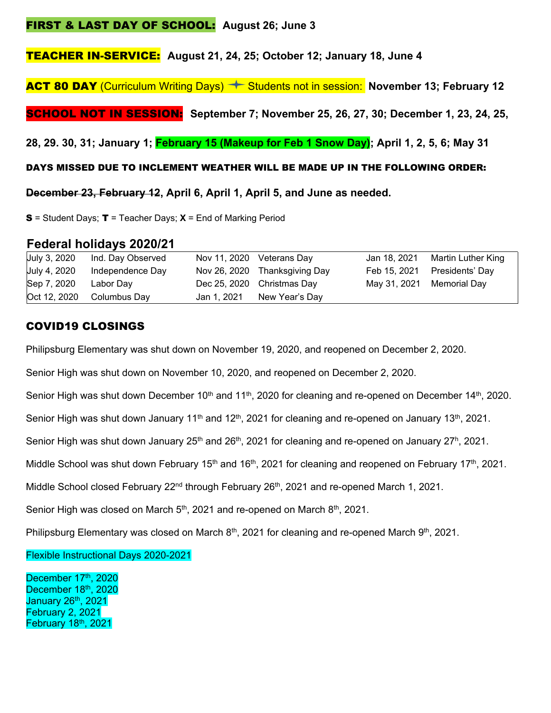### FIRST & LAST DAY OF SCHOOL: **August 26; June 3**

TEACHER IN-SERVICE: **August 21, 24, 25; October 12; January 18, June 4** 

**ACT 80 DAY** (Curriculum Writing Days)  $\rightarrow$  Students not in session: November 13; February 12

SCHOOL NOT IN SESSION: **September 7; November 25, 26, 27, 30; December 1, 23, 24, 25,** 

**28, 29. 30, 31; January 1; February 15 (Makeup for Feb 1 Snow Day); April 1, 2, 5, 6; May 31** 

#### DAYS MISSED DUE TO INCLEMENT WEATHER WILL BE MADE UP IN THE FOLLOWING ORDER:

**December 23, February 12, April 6, April 1, April 5, and June as needed.** 

S = Student Days; T = Teacher Days; **X** = End of Marking Period

## **Federal holidays 2020/21**

| July 3, 2020 | Ind. Day Observed         |             | Nov 11, 2020 Veterans Day     | Jan 18, 2021 | Martin Luther King           |
|--------------|---------------------------|-------------|-------------------------------|--------------|------------------------------|
| July 4, 2020 | Independence Day          |             | Nov 26, 2020 Thanksgiving Day |              | Feb 15, 2021 Presidents' Day |
| Sep 7, 2020  | Labor Day                 |             | Dec 25, 2020 Christmas Day    |              | May 31, 2021 Memorial Day    |
|              | Oct 12, 2020 Columbus Day | Jan 1, 2021 | New Year's Day                |              |                              |

# COVID19 CLOSINGS

Philipsburg Elementary was shut down on November 19, 2020, and reopened on December 2, 2020.

Senior High was shut down on November 10, 2020, and reopened on December 2, 2020.

Senior High was shut down December 10<sup>th</sup> and 11<sup>th</sup>, 2020 for cleaning and re-opened on December 14<sup>th</sup>, 2020.

Senior High was shut down January 11<sup>th</sup> and 12<sup>th</sup>, 2021 for cleaning and re-opened on January 13<sup>th</sup>, 2021.

Senior High was shut down January 25<sup>th</sup> and 26<sup>th</sup>, 2021 for cleaning and re-opened on January 27<sup>h</sup>, 2021.

Middle School was shut down February 15<sup>th</sup> and 16<sup>th</sup>, 2021 for cleaning and reopened on February 17<sup>th</sup>, 2021.

Middle School closed February 22<sup>nd</sup> through February 26<sup>th</sup>, 2021 and re-opened March 1, 2021.

Senior High was closed on March  $5<sup>th</sup>$ , 2021 and re-opened on March  $8<sup>th</sup>$ , 2021.

Philipsburg Elementary was closed on March 8<sup>th</sup>, 2021 for cleaning and re-opened March 9<sup>th</sup>, 2021.

Flexible Instructional Days 2020-2021

December 17th, 2020 December 18th, 2020 January 26th, 2021 February 2, 2021 February 18th, 2021